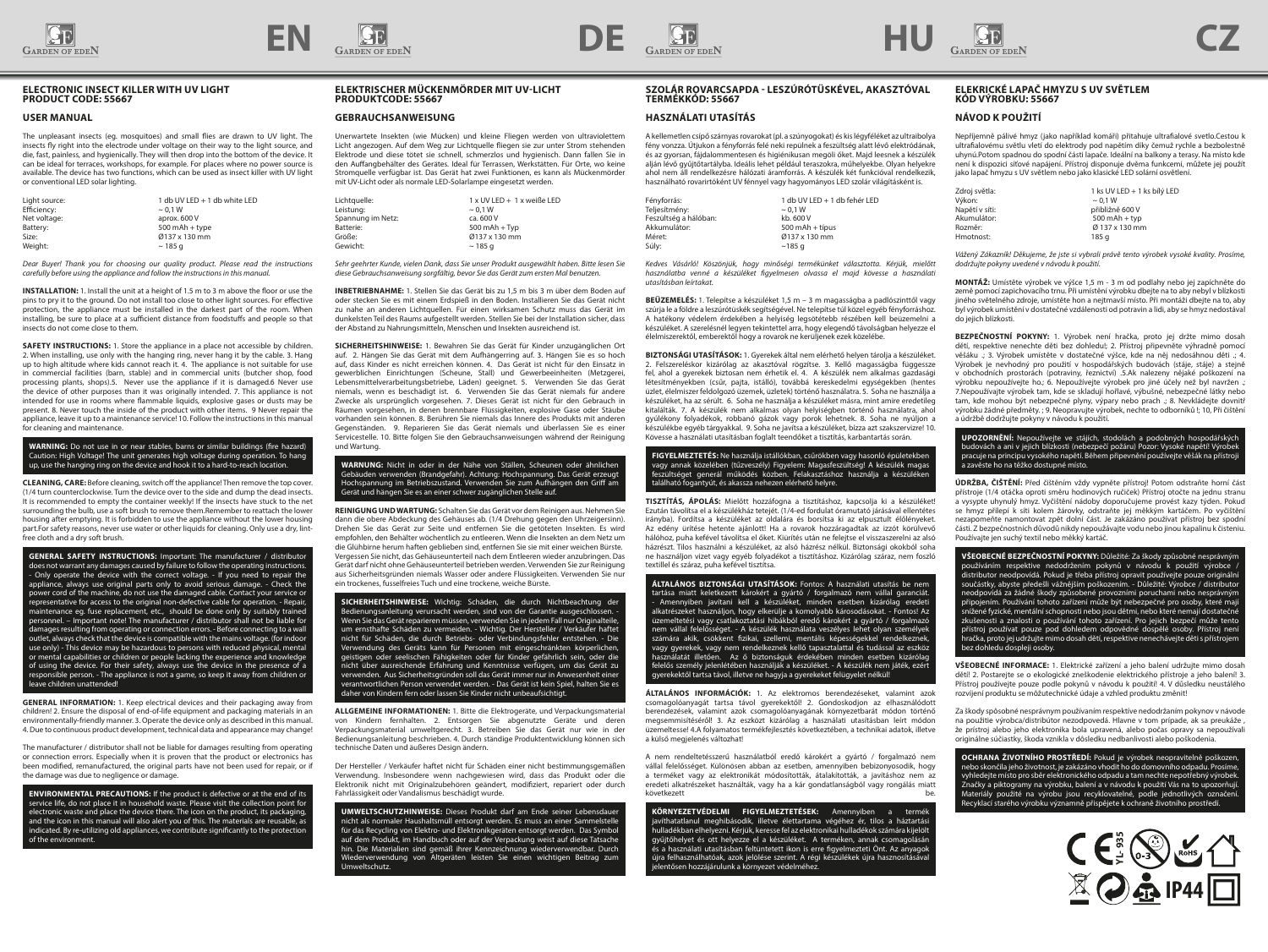





### **ELECTRONIC INSECT KILLER WITH UV LIGHT PRODUCT CODE: 55667**

### **USER MANUAL**

The unpleasant insects (eg. mosquitoes) and small flies are drawn to UV light. The insects fly right into the electrode under voltage on their way to the light source, and die, fast, painless, and hygienically. They will then drop into the bottom of the device. It can be ideal for terraces, workshops, for example. For places where no power source is available. The device has two functions, which can be used as insect killer with UV light or conventional LED solar lighting.

| Light source:<br>Efficiency: | 1 db UV LED + 1 db white LED<br>$\sim$ 0.1 W |
|------------------------------|----------------------------------------------|
| Net voltage:                 | aprox, 600 V                                 |
| Battery:                     | $500$ mAh + type                             |
| Size:                        | Ø137 x 130 mm                                |
| Weight:                      | $\sim$ 185 a                                 |

*Dear Buyer! Thank you for choosing our quality product. Please read the instructions carefully before using the appliance and follow the instructions in this manual.*

**INSTALLATION:** 1. Install the unit at a height of 1.5 m to 3 m above the floor or use the pins to pry it to the ground. Do not install too close to other light sources. For effective protection, the appliance must be installed in the darkest part of the room. When installing, be sure to place at a sufficient distance from foodstuffs and people so that insects do not come close to them.

**SAFETY INSTRUCTIONS:** 1. Store the appliance in a place not accessible by children. 2. When installing, use only with the hanging ring, never hang it by the cable. 3. Hang up to high altitude where kids cannot reach it. 4. The appliance is not suitable for use in commercial facilities (barn, stable) and in commercial units (butcher shop, food processing plants, shops).5. Never use the appliance if it is damaged.6 Never use the device of other purposes than it was originally intended. 7. This appliance is not intended for use in rooms where flammable liquids, explosive gases or dusts may be present. 8. Never touch the inside of the product with other items. 9 Never repair the appliance, leave it up to a maintenance service! 10. Follow the instructions in this manual for cleaning and maintenance.

#### **WARNING:** Do not use in or near stables, barns or similar buildings (fire hazard) Caution: High Voltage! The unit generates high voltage during operation. To hang up, use the hanging ring on the device and hook it to a hard-to-reach location.

**CLEANING, CARE:** Before cleaning, switch off the appliance! Then remove the top cover. (1/4 turn counterclockwise. Turn the device over to the side and dump the dead insects. It is recommended to empty the container weekly! If the insects have stuck to the net surrounding the bulb, use a soft brush to remove them.Remember to reattach the lower housing after emptying. It is forbidden to use the appliance without the lower housing part.For safety reasons, never use water or other liquids for cleaning. Only use a dry, lintfree cloth and a dry soft brush.

**GENERAL SAFETY INSTRUCTIONS:** Important: The manufacturer / distributor does not warrant any damages caused by failure to follow the operating instructions. - Only operate the device with the correct voltage. - If you need to repair the appliance, always use original parts only to avoid serious damage. - Check the power cord of the machine, do not use the damaged cable. Contact your service or representative for access to the original non-defective cable for operation. - Repair, maintenance eg. fuse replacement, etc., should be done only by suitably trained personnel. – Important note! The manufacturer / distributor shall not be liable for damages resulting from operating or connection errors. - Before connecting to a wall outlet, always check that the device is compatible with the mains voltage. (for indoor use only) - This device may be hazardous to persons with reduced physical, mental or mental capabilities or children or people lacking the experience and knowledge of using the device. For their safety, always use the device in the presence of a responsible person. - The appliance is not a game, so keep it away from children or leave children unattended!

**GENERAL INFORMATION:** 1. Keep electrical devices and their packaging away from children! 2. Ensure the disposal of end-of-life equipment and packaging materials in an environmentally-friendly manner. 3. Operate the device only as described in this manual. 4. Due to continuous product development, technical data and appearance may change!

The manufacturer / distributor shall not be liable for damages resulting from operating or connection errors. Especially when it is proven that the product or electronics has been modified, remanufactured, the original parts have not been used for repair, or if the damage was due to negligence or damage.

**ENVIRONMENTAL PRECAUTIONS:** If the product is defective or at the end of its service life, do not place it in household waste. Please visit the collection point for electronic waste and place the device there. The icon on the product, its packaging, and the icon in this manual will also alert you of this. The materials are reusable, as indicated. By re-utilizing old appliances, we contribute significantly to the protection of the envir

# **ELEKTRISCHER MÜCKENMÖRDER MIT UV-LICHT PRODUKTCODE: 55667**

# **GEBRAUCHSANWEISUNG**

Unerwartete Insekten (wie Mücken) und kleine Fliegen werden von ultraviolettem Licht angezogen. Auf dem Weg zur Lichtquelle fliegen sie zur unter Strom stehenden Elektrode und diese tötet sie schnell, schmerzlos und hygienisch. Dann fallen Sie in den Auffangbehälter des Gerätes. Ideal für Terrassen, Werkstätten. Für Orte, wo keine Stromquelle verfügbar ist. Das Gerät hat zwei Funktionen, es kann als Mückenmörder mit UV-Licht oder als normale LED-Solarlampe eingesetzt werden.

| 1 x UV LED + 1 x weiße LED |
|----------------------------|
| $\sim$ 0.1 W               |
| ca. 600 V                  |
| $500$ mAh + Tvp            |
| Ø137 x 130 mm              |
| $\sim$ 185 a               |
|                            |

*Sehr geehrter Kunde, vielen Dank, dass Sie unser Produkt ausgewählt haben. Bitte lesen Sie diese Gebrauchsanweisung sorgfältig, bevor Sie das Gerät zum ersten Mal benutzen.* 

**INBETRIEBNAHME:** 1. Stellen Sie das Gerät bis zu 1,5 m bis 3 m über dem Boden auf oder stecken Sie es mit einem Erdspieß in den Boden. Installieren Sie das Gerät nicht zu nahe an anderen Lichtquellen. Für einen wirksamen Schutz muss das Gerät im dunkelsten Teil des Raums aufgestellt werden. Stellen Sie bei der Installation sicher, dass der Abstand zu Nahrungsmitteln, Menschen und Insekten ausreichend ist.

**SICHERHEITSHINWEISE:** 1. Bewahren Sie das Gerät für Kinder unzugänglichen Ort auf. 2. Hängen Sie das Gerät mit dem Aufhängerring auf. 3. Hängen Sie es so hoch auf, dass Kinder es nicht erreichen können. 4. Das Gerät ist nicht für den Einsatz in gewerblichen Einrichtungen (Scheune, Stall) und Gewerbeeinheiten (Metzgerei, Lebensmittelverarbeitungsbetriebe, Läden) geeignet. 5. Verwenden Sie das Gerät niemals, wenn es beschädigt ist. 6. Verwenden Sie das Gerät niemals für andere Zwecke als ursprünglich vorgesehen. 7. Dieses Gerät ist nicht für den Gebrauch in Räumen vorgesehen, in denen brennbare Flüssigkeiten, explosive Gase oder Stäube vorhanden sein können. 8. Berühren Sie niemals das Innere des Produkts mit anderen Gegenständen. 9. Reparieren Sie das Gerät niemals und überlassen Sie es einer Servicestelle. 10. Bitte folgen Sie den Gebrauchsanweisungen während der Reinigung und Wartung.

**WARNUNG:** Nicht in oder in der Nähe von Ställen, Scheunen oder ähnlichen Gebäuden verwenden (Brandgefahr). Achtung: Hochspannung. Das Gerät erzeugt<br>Hochspannung im Betriebszustand. Verwenden Sie zum Aufhängen den Griff am<br>Gerät und hängen Sie es an einer schwer zugänglichen Stelle auf.

**REINIGUNG UND WARTUNG:** Schalten Sie das Gerät vor dem Reinigen aus. Nehmen Sie dann die obere Abdeckung des Gehäuses ab. (1/4 Drehung gegen den Uhrzeigersinn). Drehen Sie das Gerät zur Seite und entfernen Sie die getöteten Insekten. Es wird empfohlen, den Behälter wöchentlich zu entleeren. Wenn die Insekten an dem Netz um die Glühbirne herum haften geblieben sind, entfernen Sie sie mit einer weichen Bürste. Vergessen Sie nicht, das Gehäuseunterteil nach dem Entleeren wieder anzubringen. Das Gerät darf nicht ohne Gehäuseunterteil betrieben werden. Verwenden Sie zur Reinigung aus Sicherheitsgründen niemals Wasser oder andere Flüssigkeiten. Verwenden Sie nur ein trockenes, fusselfreies Tuch und eine trockene, weiche Bürste.

**SICHERHEITSHINWEISE:** Wichtig: Schäden, die durch Nichtbeachtung der Bedienungsanleitung verursacht werden, sind von der Garantie ausgeschlossen. Wenn Sie das Gerät reparieren müssen, verwenden Sie in jedem Fall nur Originalteile, um ernsthafte Schäden zu vermeiden. - Wichtig. Der Hersteller / Verkäufer haftet nicht für Schäden, die durch Betriebs- oder Verbindungsfehler entstehen. - Die Verwendung des Geräts kann für Personen mit eingeschränkten körperlichen, geistigen oder seelischen Fähigkeiten oder für Kinder gefährlich sein, oder die nicht über ausreichende Erfahrung und Kenntnisse verfügen, um das Gerät zu verwenden. Aus Sicherheitsgründen soll das Gerät immer nur in Anwesenheit einer verantwortlichen Person verwendet werden. - Das Gerät ist kein Spiel, halten Sie es daher von Kindern fern oder lassen Sie Kinder nicht unbeaufsichtigt.

**ALLGEMEINE INFORMATIONEN:** 1. Bitte die Elektrogeräte, und Verpackungsmaterial von Kindern fernhalten. 2. Entsorgen Sie abgenutzte Geräte und deren Verpackungsmaterial umweltgerecht. 3. Betreiben Sie das Gerät nur wie in der Bedienungsanleitung beschrieben. 4. Durch ständige Produktentwicklung können sich technische Daten und äußeres Design ändern.

Der Hersteller / Verkäufer haftet nicht für Schäden einer nicht bestimmungsgemäßen Verwendung. Insbesondere wenn nachgewiesen wird, dass das Produkt oder die Elektronik nicht mit Originalzubehören geändert, modifiziert, repariert oder durch Fahrlässigkeit oder Vandalismus beschädigt wurde.

**UMWELTSCHUTZHINWEISE:** Dieses Produkt darf am Ende seiner Lebensdauer nicht als normaler Haushaltsmüll entsorgt werden. Es muss an einer Sammelstelle für das Recycling von Elektro- und Elektronikgeräten entsorgt werden. Das Symbol auf dem Produkt, im Handbuch oder auf der Verpackung weist auf diese Tatsache hin. Die Materialien sind gemäß ihrer Kennzeichnung wiederverwendbar. Durch Wiederverwendung von Altgeräten leisten Sie einen wichtigen Beitrag zum Umweltschutz.

## **SZOLÁR ROVARCSAPDA - LESZÚRÓTÜSKÉVEL, AKASZTÓVAL TERMÉKKÓD: 55667**

# **HASZNÁLATI UTASÍTÁS**

A kellemetlen csípő szárnyas rovarokat (pl. a szúnyogokat) és kis légyféléket az ultraibolya fény vonzza. Útjukon a fényforrás felé neki repülnek a feszültség alatt lévő elektródának, és az gyorsan, fájdalommentesen és higiénikusan megöli őket. Majd leesnek a készülék alján lévő gyűjtőtartályba. Ideális lehet például teraszokra, műhelyekbe. Olyan helyekre ahol nem áll rendelkezésre hálózati áramforrás. A készülék két funkcióval rendelkezik, használható rovarirtóként UV fénnyel vagy hagyományos LED szolár világításként is.

| Fényforrás:           | 1 db UV LED + 1 db fehér LED |
|-----------------------|------------------------------|
| Teljesítmény:         | $\sim$ 0.1 W                 |
| Feszültség a hálóban: | kb. 600 V                    |
| Akkumulátor:          | $500$ mAh + típus            |
| Méret:                | Ø137 x 130 mm                |
| Súly:                 | $~185$ q                     |

*Kedves Vásárló! Köszönjük, hogy minőségi termékünket választotta. Kérjük, mielőtt használatba venné a készüléket figyelmesen olvassa el majd kövesse a használati utasításban leírtakat.* 

**BEÜZEMELÉS:** 1. Telepítse a készüléket 1,5 m – 3 m magasságba a padlószinttől vagy szúrja le a földre a leszúrótüskék segítségével. Ne telepítse túl közel egyéb fényforráshoz. A hatékony védelem érdekében a helyiség legsötétebb részében kell beüzemelni a készüléket. A szerelésnél legyen tekintettel arra, hogy elegendő távolságban helyezze el élelmiszerektől, emberektől hogy a rovarok ne kerüljenek ezek közelébe.

**BIZTONSÁGI UTASÍTÁSOK:** 1. Gyerekek által nem elérhető helyen tárolja a készüléket. 2. Felszereléskor kizárólag az akasztóval rögzítse. 3. Kellő magasságba függessze fel, ahol a gyerekek biztosan nem érhetik el. 4. A készülék nem alkalmas gazdasági létesítményekben (csűr, pajta, istálló), továbbá kereskedelmi egységekben (hentes üzlet, élelmiszer feldolgozó üzemek, üzletek) történő használatra. 5. Soha ne használja a készüléket, ha az sérült. 6. Soha ne használja a készüléket másra, mint amire eredetileg kitalálták. 7. A készülék nem alkalmas olyan helyiségben történő használatra, ahol gyúlékony folyadékok, robbanó gázok vagy porok lehetnek. 8. Soha ne nyúljon a készülékbe egyéb tárgyakkal. 9. Soha ne javítsa a készüléket, bízza azt szakszervizre! 10. Kövesse a használati utasításban foglalt teendőket a tisztítás, karbantartás során.

**FIGYELMEZTETÉS:** Ne használja istállókban, csűrökben vagy hasonló épületekben vagy annak közelében (tűzveszély) Figyelem: Magasfeszültség! A készülék magas feszültséget generál működés közben. Felakasztáshoz használja a készüléken található fogantyút, és akassza nehezen elérhető helyre.

**TISZTÍTÁS, ÁPOLÁS:** Mielőtt hozzáfogna a tisztításhoz, kapcsolja ki a készüléket! Ezután távolítsa el a készülékház tetejét. (1/4-ed fordulat óramutató járásával ellentétes irányba). Fordítsa a készüléket az oldalára és borsítsa ki az elpusztult élőlényeket. Az edény ürítése hetente ajánlott! Ha a rovarok hozzáragadtak az izzót körülvevő hálóhoz, puha kefével távolítsa el őket. Kiürítés után ne felejtse el visszaszerelni az alsó házrészt. Tilos használni a készüléket, az alsó házrész nélkül. Biztonsági okokból soha ne használjon vizet vagy egyéb folyadékot a tisztításhoz. Kizárólag száraz, nem foszló textillel és száraz, puha kefével tisztítsa.

**ÁLTALÁNOS BIZTONSÁGI UTASÍTÁSOK:** Fontos: A használati utasítás be nem tartása miatt keletkezett károkért a gyártó / forgalmazó nem vállal garanciát. - Amennyiben javítani kell a készüléket, minden esetben kizárólag eredeti alkatrészeket használjon, hogy elkerülje a komolyabb károsodásokat. - Fontos! Az üzemeltetési vagy csatlakoztatási hibákból eredő károkért a gyártó / forgalmazó nem vállal felelősséget. - A készülék használata veszélyes lehet olyan személyek számára akik, csökkent fizikai, szellemi, mentális képességekkel rendelkeznek, vagy gyerekek, vagy nem rendelkeznek kellő tapasztalattal és tudással az eszköz használatát illetően. Az ő biztonságuk érdekében minden esetben kizárólag felelős személy jelenlétében használják a készüléket. - A készülék nem játék, ezért gyerekektől tartsa távol, illetve ne hagyja a gyerekeket felügyelet nélkül!

**ÁLTALÁNOS INFORMÁCIÓK:** 1. Az elektromos berendezéseket, valamint azok csomagolóanyagát tartsa távol gyerekektől! 2. Gondoskodjon az elhasználódott berendezések, valamint azok csomagolóanyagának környezetbarát módon történő megsemmisítéséről! 3. Az eszközt kizárólag a használati utasításban leírt módon üzemeltesse! 4.A folyamatos termékfejlesztés következtében, a technikai adatok, illetve a külső megjelenés változhat!

A nem rendeltetésszerű használatból eredő károkért a gyártó / forgalmazó nem vállal felelősséget. Különösen abban az esetben, amennyiben bebizonyosodik, hogy a terméket vagy az elektronikát módosították, átalakították, a javításhoz nem az eredeti alkatrészeket használták, vagy ha a kár gondatlanságból vagy rongálás miatt következett be.

**KÖRNYEZETVÉDELMI FIGYELMEZTETÉSEK:** Amennyiben a termék javíthatatlanul meghibásodik, illetve élettartama végéhez ér, tilos a háztartási hulladékban elhelyezni. Kérjük, keresse fel az elektronikai hulladékok számára kijelölt gyűjtőhelyet és ott helyezze el a készüléket. A terméken, annak csomago és a használati utasításban feltüntetett ikon is erre figyelmezteti Önt. Az anyagok<br>újra felhasználhatóak, azok jelölése szerint. A régi készülékek újra hasznosításával jelentősen hozzájárulunk a környezet védelméhez.

## **ELEKRICKÉ LAPAČ HMYZU S UV SVĚTLEM KÓD VÝROBKU: 55667**

### **NÁVOD K POUŽITÍ**

Nepříjemně pálivé hmyz (jako například komáři) přitahuje ultrafialové svetlo.Cestou k ultrafialovému světlu vletí do elektrody pod napětím díky čemuž rychle a bezbolestně uhynú.Potom spadnou do spodní části lapače. Ideální na balkony a terasy. Na místo kde není k dispozici síťové napájení. Přístroj disponuje dvěma funkcemi, můžete jej použít jako lapač hmyzu s UV světlem nebo jako klasické LED solární osvětlení.

| Zdroj světla:  | 1 ks UV LED + 1 ks bílý LED |
|----------------|-----------------------------|
| Výkon:         | $\sim$ 0.1 W                |
| Napětí v síti: | přibližně 600 V             |
| Akumulátor:    | $500$ mAh + typ             |
| Rozměr:        | Ø 137 x 130 mm              |
| Hmotnost:      | 185 a                       |

*Vážený Zákazník! Děkujeme, že jste si vybrali právě tento výrobek vysoké kvality. Prosíme, dodržujte pokyny uvedené v návodu k použití.*

**MONTÁŽ:** Umístěte výrobek ve výšce 1,5 m - 3 m od podlahy nebo jej zapíchněte do země pomocí zapichovacího trnu. Při umístění výrobku dbejte na to aby nebyl v blízkosti jiného světelného zdroje, umístěte hon a nejtmavší místo. Při montáži dbejte na to, aby byl výrobek umístění v dostatečné vzdálenosti od potravin a lidi, aby se hmyz nedostával do jejich blízkosti.

**BEZPEČNOSTNÍ POKYNY:** 1. Výrobek není hračka, proto jej držte mimo dosah dětí, respektive nenechte děti bez dohledu!; 2. Přístroj připevněte výhradně pomocí věšáku .; 3. Výrobek umístěte v dostatečné výšce, kde na něj nedosáhnou děti .; 4. Výrobek je nevhodný pro použití v hospodářských budovách (stáje, stáje) a stejně v obchodních prostorách (potraviny, řeznictví) .5.Ak nalezeny nějaké poškození na výrobku nepoužívejte ho.; 6. Nepoužívejte výrobek pro jiné účely než byl navržen .; 7.Nepoužívajte výrobek tam, kde se skladují hořlavé, výbušné, nebezpečné látky nebo tam, kde mohou být nebezpečné plyny, výpary nebo prach .; 8. Nevkládejte dovnitř výrobku žádné předměty. ; 9. Neopravujte výrobek, nechte to odborníků !; 10, Při čištění a údržbě dodržujte pokyny v návodu k použití.

**UPOZORNĚNÍ:** Nepoužívejte ve stájích, stodolách a podobných hospodářských budovách a ani v jejich blízkosti (nebezpečí požáru) Pozor: Vysoké napětí! Výrobek pracuje na principu vysokého napětí. Během připevnění používejte věšák na přístroji a zavěste ho na těžko dostupné místo.

**ÚDRŽBA, ČIŠTĚNÍ:** Před čištěním vždy vypněte přístroj! Potom odstraňte horní část přístroje (1/4 otáčka oproti směru hodinových ručiček) Přístroj otočte na jednu stranu a vysypte uhynulý hmyz. Vyčištění nádoby doporučujeme provést kazy týden. Pokud se hmyz přilepí k síti kolem žárovky, odstraňte jej měkkým kartáčem. Po vyčištění nezapomeňte namontovat zpět dolní část. Je zakázáno používat přístroj bez spodní části. Z bezpečnostních důvodů nikdy nepoužávajte vodu nebo jinou kapalinu k čisteniu. Používajte jen suchý textil nebo měkký kartáč.

**VŠEOBECNÉ BEZPEČNOSTNÍ POKYNY:** Důležité: Za škody způsobné nesprávným používáním respektive nedodržením pokynů v návodu k použití výrobce / distributor neodpovídá. Pokud je třeba přístroj opravit používejte pouze originální součástky, abyste předešli vážnějším poškozením. - Důležité: Výrobce / distributor neodpovídá za žádné škody způsobené provozními poruchami nebo nesprávným připojením. Používání tohoto zařízení může být nebezpečné pro osoby, které mají snížené fyzické, mentální schopnosti nebo jsou dětmi, nebo které nemají dostatečné zkušenosti a znalosti o používání tohoto zařízení. Pro jejich bezpečí může tento přístroj používat pouze pod dohledem odpovědné dospělé osoby. Přístroj není hračka, proto jej udržujte mimo dosah dětí, respektive nenechávejte děti s přístrojem bez dohledu dospleji osoby.

**VŠEOBECNÉ INFORMACE:** 1. Elektrické zařízení a jeho balení udržujte mimo dosah dětí! 2. Postarejte se o ekologické zneškodenie elektrického přístroje a jeho balení! 3. Přístroj používejte pouze podle pokynů v návodu k použití! 4. V důsledku neustálého rozvíjení produktu se môžutechnické údaje a vzhled produktu změnit!

Za škody spôsobné nesprávnym používaním respektíve nedodržaním pokynov v návode na použitie výrobca/distribútor nezodpovedá. Hlavne v tom prípade, ak sa preukáže , že prístroj alebo jeho elektronika bola upravená, alebo počas opravy sa nepoužívali originálne súčiastky, škoda vznikla v dôsledku nedbanlivosti alebo poškodenia.

**OCHRANA ŽIVOTNÍHO PROSTŘEDÍ:** Pokud je výrobek neopravitelně poškozen, nebo skončila jeho životnost, je zakázáno vhodit ho do domovního odpadu. Prosíme, vyhledejte místo pro sběr elektronického odpadu a tam nechte nepotřebný výrobek. Značky a piktogramy na výrobku, balení a v návodu k použití Vás na to upozorňují. Materiály použité na výrobu jsou recyklovatelné, podle jednotlivých označení. Recyklací starého výrobku významně přispějete k ochraně životního prostředí.